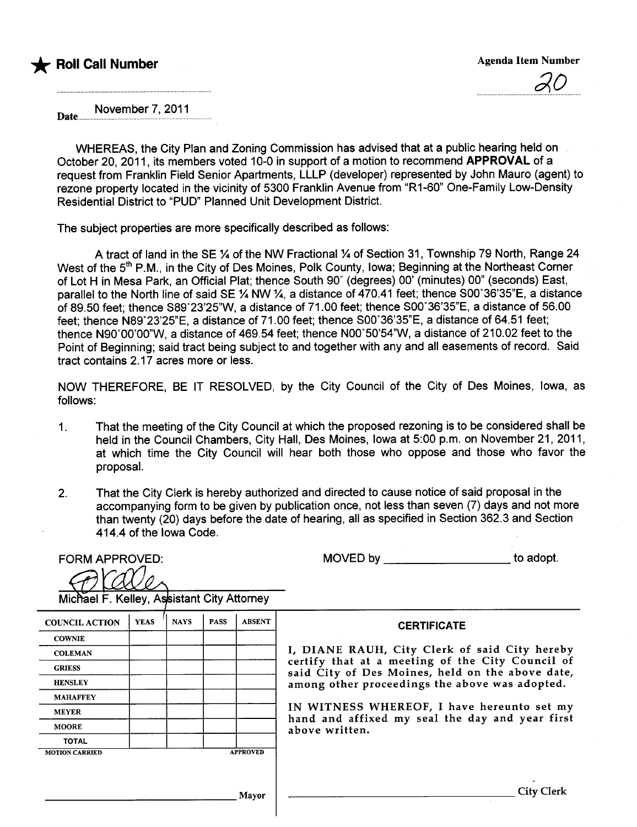

;?O

November 7,2011 Date.....

WHEREAS, the City Plan and Zoning Commission has advised that at a public hearing held on October 20, 2011, its members voted 10-0 in support of a motion to recommend APPROVAL of a request from Franklin Field Senior Apartments, LLLP (developer) represented by John Mauro (agent) to rezone property located in the vicinity of 5300 Franklin Avenue from "R1-60" One-Family Low-Density Residential District to "PUD" Planned Unit Development District.

The subject properties are more specifically described as follows:

A tract of land in the SE % of the NW Fractional % of Section 31, Township 79 North, Range 24 West of the 5<sup>th</sup> P.M., in the City of Des Moines, Polk County, Iowa; Beginning at the Northeast Corner of Lot H in Mesa Park, an Official Plat; thence South 90° (degrees) 00' (minutes) 00" (seconds) East, parallel to the North line of said SE  $\%$  NW  $\%$ , a distance of 470.41 feet; thence S00°36'35"E, a distance of 89.50 feet; thence S89°23'25"W, a distance of 71.00 feet; thence S00°36'35"E, a distance of 56.00 feet; thence N89°23'25"E, a distance of 71.00 feet; thence S00°36'35"E, a distance of 64.51 feet; thence N90°00'00"W, a distance of 469.54 feet; thence N00°50'54"W, a distance of 210.02 feet to the Point of Beginning; said tract being subject to and together with any and all easements of record. Said tract contains 2.17 acres more or less.

NOW THEREFORE, BE IT RESOLVED, by the City Council of the City of Des Moines, Iowa, as follows:

- 1. That the meeting of the City Council at which the proposed rezoning is to be considered shall be held in the Council Chambers, City Hall, Des Moines, Iowa at 5:00 p.m. on November 21, 2011, at which time the City Council will hear both those who oppose and those who favor the proposaL.
- 2. That the City Clerk is hereby authorized and directed to cause notice of said proposal in the accompanying form to be given by publication once, not less than seven (7) days and not more than twenty (20) days before the date of hearing, all as specified in Section 362.3 and Section 414.4 of the Iowa Code.

| <b>FORM APPROVED:</b>                      |             |             |             |                 | MOVED by<br>to adopt.                                                                                |
|--------------------------------------------|-------------|-------------|-------------|-----------------|------------------------------------------------------------------------------------------------------|
|                                            |             |             |             |                 |                                                                                                      |
| Michael F. Kelley, Assistant City Attorney |             |             |             |                 |                                                                                                      |
| <b>COUNCIL ACTION</b>                      | <b>YEAS</b> | <b>NAYS</b> | <b>PASS</b> | <b>ABSENT</b>   | <b>CERTIFICATE</b>                                                                                   |
| <b>COWNIE</b>                              |             |             |             |                 |                                                                                                      |
| <b>COLEMAN</b>                             |             |             |             |                 | I, DIANE RAUH, City Clerk of said City hereby                                                        |
| <b>GRIESS</b>                              |             |             |             |                 | certify that at a meeting of the City Council of<br>said City of Des Moines, held on the above date, |
| <b>HENSLEY</b>                             |             |             |             |                 | among other proceedings the above was adopted.                                                       |
| <b>MAHAFFEY</b>                            |             |             |             |                 |                                                                                                      |
| <b>MEYER</b>                               |             |             |             |                 | IN WITNESS WHEREOF, I have hereunto set my<br>hand and affixed my seal the day and year first        |
| <b>MOORE</b>                               |             |             |             |                 | above written.                                                                                       |
| <b>TOTAL</b>                               |             |             |             |                 |                                                                                                      |
| <b>MOTION CARRIED</b>                      |             |             |             | <b>APPROVED</b> |                                                                                                      |
|                                            |             |             |             |                 |                                                                                                      |
|                                            |             |             |             | Mayor           | <b>City Clerk</b>                                                                                    |
|                                            |             |             |             |                 |                                                                                                      |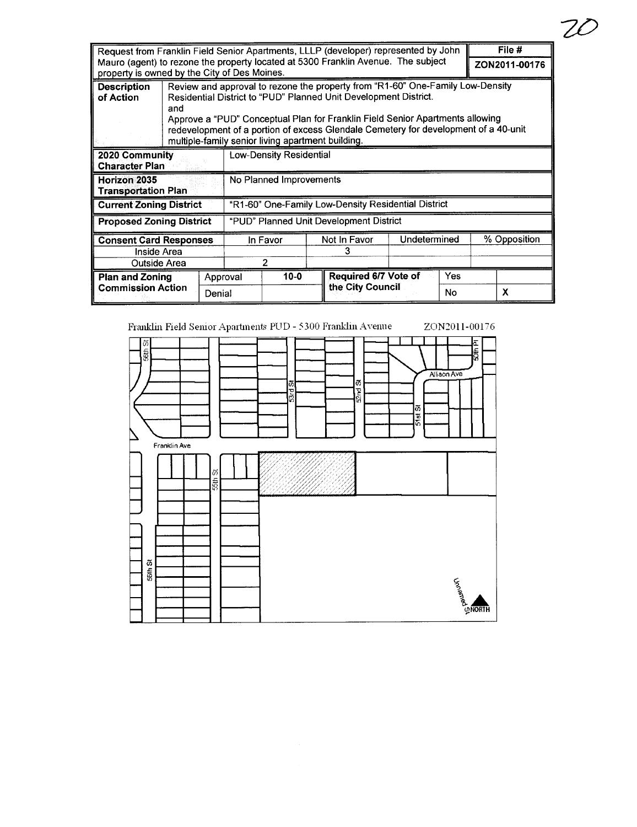| Request from Franklin Field Senior Apartments, LLLP (developer) represented by John |                                                                                   |          |                                                                                                                                                                                                                                                                                                                                                                                 |  |                  |                      |               | File # |              |  |
|-------------------------------------------------------------------------------------|-----------------------------------------------------------------------------------|----------|---------------------------------------------------------------------------------------------------------------------------------------------------------------------------------------------------------------------------------------------------------------------------------------------------------------------------------------------------------------------------------|--|------------------|----------------------|---------------|--------|--------------|--|
| property is owned by the City of Des Moines.                                        | Mauro (agent) to rezone the property located at 5300 Franklin Avenue. The subject |          |                                                                                                                                                                                                                                                                                                                                                                                 |  |                  |                      | ZON2011-00176 |        |              |  |
| <b>Description</b><br>of Action                                                     | and                                                                               |          | Review and approval to rezone the property from "R1-60" One-Family Low-Density<br>Residential District to "PUD" Planned Unit Development District.<br>Approve a "PUD" Conceptual Plan for Franklin Field Senior Apartments allowing<br>redevelopment of a portion of excess Glendale Cemetery for development of a 40-unit<br>multiple-family senior living apartment building. |  |                  |                      |               |        |              |  |
| 2020 Community<br><b>Character Plan</b>                                             |                                                                                   |          | Low-Density Residential                                                                                                                                                                                                                                                                                                                                                         |  |                  |                      |               |        |              |  |
| Horizon 2035<br><b>Transportation Plan</b>                                          |                                                                                   |          | No Planned Improvements                                                                                                                                                                                                                                                                                                                                                         |  |                  |                      |               |        |              |  |
| <b>Current Zoning District</b>                                                      |                                                                                   |          | "R1-60" One-Family Low-Density Residential District                                                                                                                                                                                                                                                                                                                             |  |                  |                      |               |        |              |  |
| <b>Proposed Zoning District</b>                                                     |                                                                                   |          | "PUD" Planned Unit Development District                                                                                                                                                                                                                                                                                                                                         |  |                  |                      |               |        |              |  |
| <b>Consent Card Responses</b>                                                       |                                                                                   |          | In Favor                                                                                                                                                                                                                                                                                                                                                                        |  | Not In Favor     |                      | Undetermined  |        | % Opposition |  |
| Inside Area                                                                         |                                                                                   |          |                                                                                                                                                                                                                                                                                                                                                                                 |  |                  | 3                    |               |        |              |  |
| Outside Area                                                                        |                                                                                   |          | 2                                                                                                                                                                                                                                                                                                                                                                               |  |                  |                      |               |        |              |  |
| <b>Plan and Zoning</b><br><b>Commission Action</b><br>Denial                        |                                                                                   | Approval | $10-0$                                                                                                                                                                                                                                                                                                                                                                          |  |                  | Required 6/7 Vote of |               | Yes    |              |  |
|                                                                                     |                                                                                   |          |                                                                                                                                                                                                                                                                                                                                                                                 |  | the City Council |                      | No            |        | x            |  |

 $Z\overline{C}$ 



ZON2011-00176 **SOth PI** ũ **Seth** Allison Ave  $52-3$ ū  $\frac{1}{2}$  $5181$ Franklin Ave 55th St  $56th$  St **THEREAS**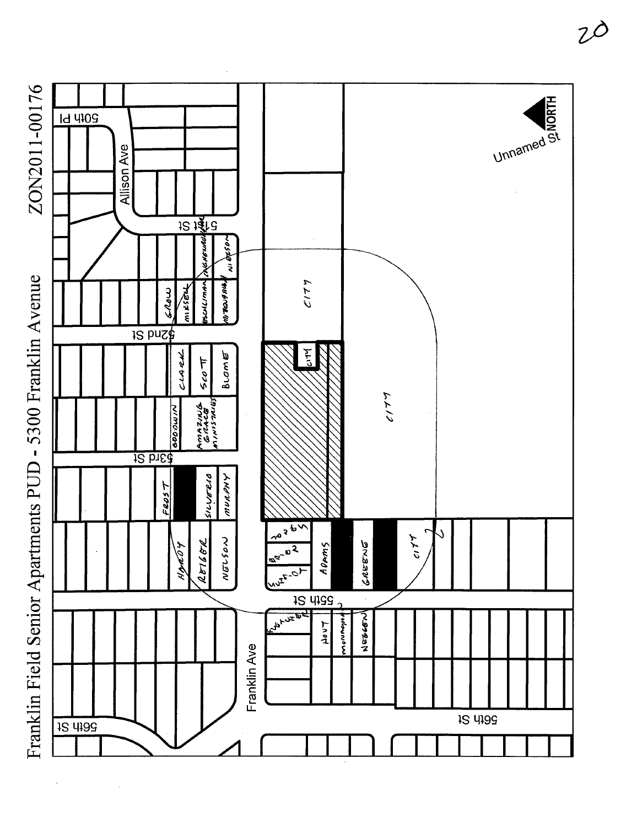

ZON2011-00176

Franklin Field Senior Apartments PUD - 5300 Franklin Avenue

 $Z\overline{O}$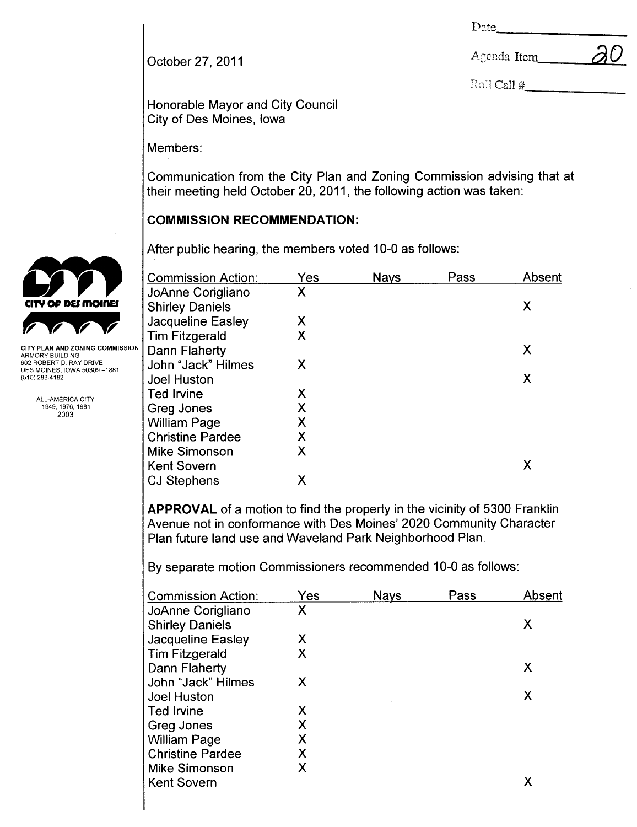Date

October 27, 2011 **Agency 2011** Agenda Item  $\partial O$ 

 $\text{Roll} \#$ 

Honorable Mayor and City Council City of Des Moines, Iowa

Members:

Communication from the City Plan and Zoning Commission advising that at their meeting held October 20,2011, the following action was taken:

# COMMISSION RECOMMENDATION:

After public hearing, the members voted 10-0 as follows:

| <b>Commission Action:</b> | Yes | <b>Nays</b> | Pass | Absent |
|---------------------------|-----|-------------|------|--------|
| JoAnne Corigliano         | X   |             |      |        |
| <b>Shirley Daniels</b>    |     |             |      | Χ      |
| Jacqueline Easley         | Χ   |             |      |        |
| <b>Tim Fitzgerald</b>     | Χ   |             |      |        |
| Dann Flaherty             |     |             |      | X      |
| John "Jack" Hilmes        | X   |             |      |        |
| Joel Huston               |     |             |      | Χ      |
| <b>Ted Irvine</b>         | X   |             |      |        |
| Greg Jones                | X   |             |      |        |
| <b>William Page</b>       | Χ   |             |      |        |
| <b>Christine Pardee</b>   | Χ   |             |      |        |
| <b>Mike Simonson</b>      | Χ   |             |      |        |
| <b>Kent Sovern</b>        |     |             |      | Х      |
| <b>CJ Stephens</b>        | Χ   |             |      |        |

APPROVAL of a motion to find the property in the vicinity of 5300 Franklin Avenue not in conformance with Des Moines' 2020 Community Character Plan future land use and Waveland Park Neighborhood Plan.

By separate motion Commissioners recommended 10-0 as follows:

| <b>Commission Action:</b> | Yes | <b>Nays</b> | Pass | Absent |
|---------------------------|-----|-------------|------|--------|
| JoAnne Corigliano         | Χ   |             |      |        |
| <b>Shirley Daniels</b>    |     |             |      | X      |
| Jacqueline Easley         | X   |             |      |        |
| <b>Tim Fitzgerald</b>     | Χ   |             |      |        |
| Dann Flaherty             |     |             |      | Х      |
| John "Jack" Hilmes        | X   |             |      |        |
| <b>Joel Huston</b>        |     |             |      | Χ      |
| <b>Ted Irvine</b>         | Х   |             |      |        |
| Greg Jones                | X   |             |      |        |
| <b>William Page</b>       | Χ   |             |      |        |
| <b>Christine Pardee</b>   | X   |             |      |        |
| Mike Simonson             | X   |             |      |        |
| <b>Kent Sovern</b>        |     |             |      | Χ      |
|                           |     |             |      |        |



ARMORY BUILDING<br>602 ROBERT D. RAY DRIVE DES MOINES, IOWA 50309-1881 (515) 283-4182

> ALL-AMERICA CITY 1949,1976,1981 2003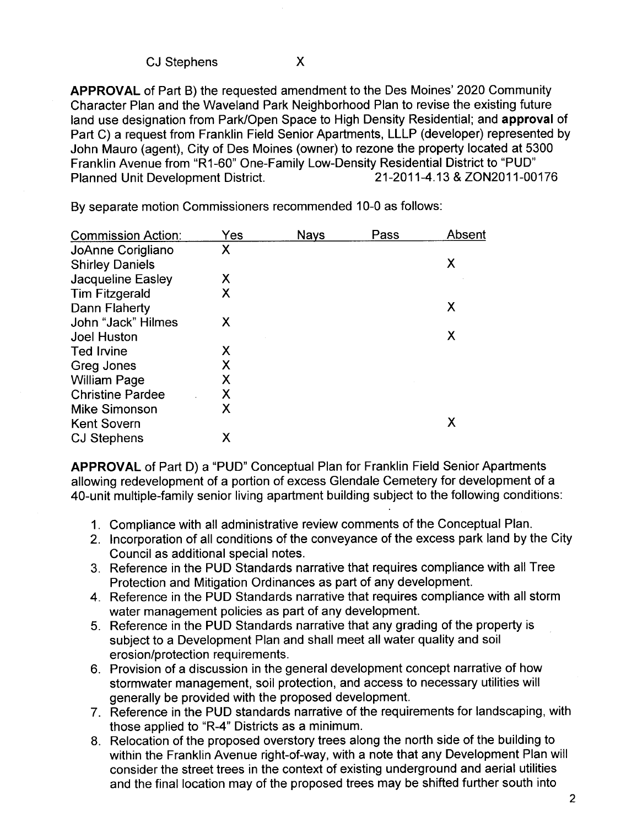CJ Stephens x

APPROVAL of Part B) the requested amendment to the Des Moines' 2020 Community Character Plan and the Waveland Park Neighborhood Plan to revise the existing future land use designation from Park/Open Space to High Density Residential; and approval of Part C) a request from Franklin Field Senior Apartments, LLLP (developer) represented by John Mauro (agent), City of Des Moines (owner) to rezone the property located at 5300 Franklin Avenue from "R1-60" One-Family Low-Density Residential District to "PUD" Planned Unit Development District.

| <b>Commission Action:</b> | Yes | <b>Nays</b> | Pass | Absent |
|---------------------------|-----|-------------|------|--------|
| JoAnne Corigliano         | Χ   |             |      |        |
| <b>Shirley Daniels</b>    |     |             |      | Χ      |
| Jacqueline Easley         | Χ   |             |      |        |
| <b>Tim Fitzgerald</b>     | Χ   |             |      |        |
| Dann Flaherty             |     |             |      | Χ      |
| John "Jack" Hilmes        | Х   |             |      |        |
| <b>Joel Huston</b>        |     |             |      | Χ      |
| <b>Ted Irvine</b>         | Х   |             |      |        |
| Greg Jones                | Χ   |             |      |        |
| <b>William Page</b>       | Χ   |             |      |        |
| <b>Christine Pardee</b>   | Χ   |             |      |        |
| <b>Mike Simonson</b>      | Χ   |             |      |        |
| <b>Kent Sovern</b>        |     |             |      | X      |
| <b>CJ Stephens</b>        | Х   |             |      |        |

By separate motion Commissioners recommended 10-0 as follows:

APPROVAL of Part D) a "PUD" Conceptual Plan for Franklin Field Senior Apartments allowing redevelopment of a portion of excess Glendale Cemetery for development of a 40-unit multiple-family senior living apartment building subject to the following conditions:

- 1. Compliance with all administrative review comments of the Conceptual Plan.
- 2. Incorporation of all conditions of the conveyance of the excess park land by the City Council as additional special notes.
- 3. Reference in the PUD Standards narrative that requires compliance with all Tree Protection and Mitigation Ordinances as part of any development.
- 4. Reference in the PUD Standards narrative that requires compliance with all storm water management policies as part of any development.
- 5. Reference in the PUD Standards narrative that any grading of the property is subject to a Development Plan and shall meet all water quality and soil erosion/protection requirements.
- 6. Provision of a discussion in the general development concept narrative of how stormwater management, soil protection, and access to necessary utilities will generally be provided with the proposed development.
- 7. Reference in the PUD standards narrative of the requirements for landscaping, with those applied to "R-4" Districts as a minimum.
- 8. Relocation of the proposed overstory trees along the north side of the building to within the Franklin Avenue right-of-way, with a note that any Development Plan wil consider the street trees in the context of existing underground and aerial utilities and the final location may of the proposed trees may be shifted further south into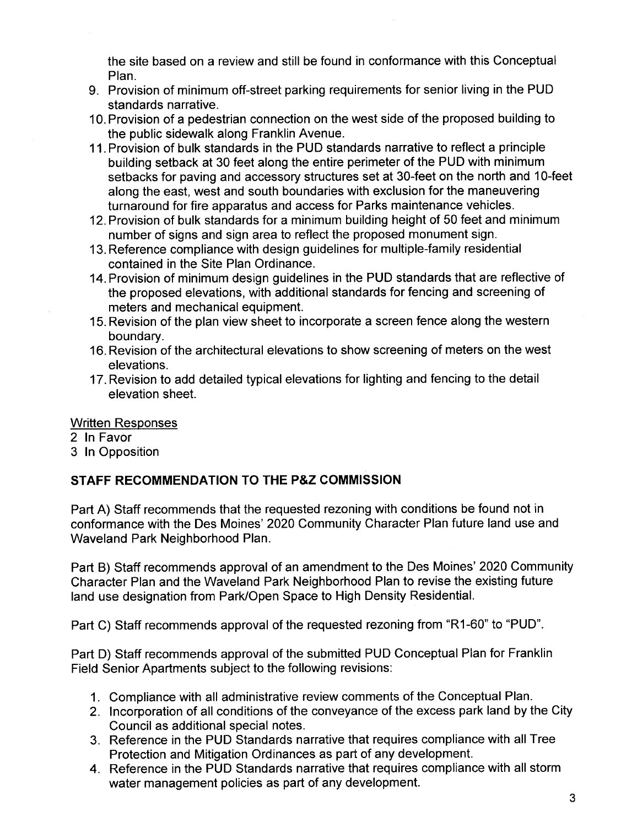the site based on a review and still be found in conformance with this Conceptual Plan.

- 9. Provision of minimum off-street parking requirements for senior living in the PUD standards narrative.
- 10. Provision of a pedestrian connection on the west side of the proposed building to the public sidewalk along Franklin Avenue.
- 11. Provision of bulk standards in the PUD standards narrative to reflect a principle building setback at 30 feet along the entire perimeter of the PUD with minimum setbacks for paving and accessory structures set at 30-feet on the north and 10-feet along the east, west and south boundaries with exclusion for the maneuvering turnaround for fire apparatus and access for Parks maintenance vehicles.
- 12. Provision of bulk standards for a minimum building height of 50 feet and minimum number of signs and sign area to reflect the proposed monument sign.
- 13. Reference compliance with design guidelines for multiple-family residential contained in the Site Plan Ordinance.
- 14. Provision of minimum design guidelines in the PUD standards that are reflective of the proposed elevations, with additional standards for fencing and screening of meters and mechanical equipment.
- 15. Revision of the plan view sheet to incorporate a screen fence along the western boundary.
- 16. Revision of the architectural elevations to show screening of meters on the west elevations.
- 17. Revision to add detailed typical elevations for lighting and fencing to the detail elevation sheet.

Written Responses

- 2 In Favor
- 3 In Opposition

## STAFF RECOMMENDATION TO THE P&Z COMMISSION

Part A) Staff recommends that the requested rezoning with conditions be found not in conformance with the Des Moines' 2020 Community Character Plan future land use and Waveland Park Neighborhood Plan.

Part B) Staff recommends approval of an amendment to the Des Moines' 2020 Community Character Plan and the Waveland Park Neighborhood Plan to revise the existing future land use designation from Park/Open Space to High Density ResidentiaL.

Part C) Staff recommends approval of the requested rezoning from "R1-60" to "PUD".

Part D) Staff recommends approval of the submitted PUD Conceptual Plan for Franklin Field Senior Apartments subject to the following revisions:

- 1. Compliance with all administrative review comments of the Conceptual Plan.
- 2. Incorporation of all conditions of the conveyance of the excess park land by the City Council as additional special notes.
- 3. Reference in the PUD Standards narrative that requires compliance with all Tree Protection and Mitigation Ordinances as part of any development.
- 4. Reference in the PUD Standards narrative that requires compliance with all storm water management policies as part of any development.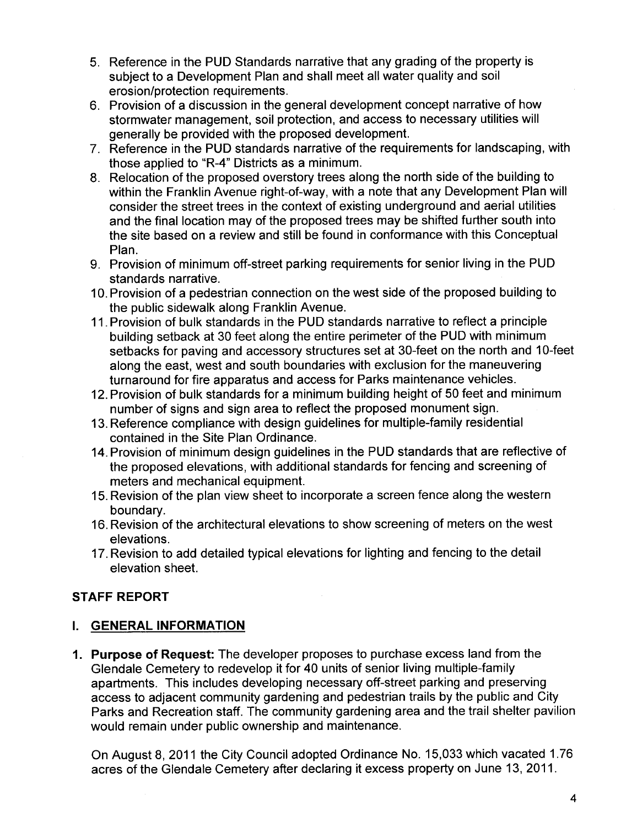- 5. Reference in the PUD Standards narrative that any grading of the property is subject to a Development Plan and shall meet all water quality and soil erosion/protection requirements.
- 6. Provision of a discussion in the general development concept narrative of how stormwater management, soil protection, and access to necessary utilities will generally be provided with the proposed development.
- 7. Reference in the PUD standards narrative of the requirements for landscaping, with those applied to "R-4" Districts as a minimum.
- 8. Relocation of the proposed overstory trees along the north side of the building to within the Franklin Avenue right-of-way, with a note that any Development Plan will consider the street trees in the context of existing underground and aerial utilities and the final location may of the proposed trees may be shifted further south into the site based on a review and stil be found in conformance with this Conceptual Plan.
- 9. Provision of minimum off-street parking requirements for senior living in the PUD standards narrative.
- 10. Provision of a pedestrian connection on the west side of the proposed building to the public sidewalk along Franklin Avenue.
- 11. Provision of bulk standards in the PUD standards narrative to reflect a principle building setback at 30 feet along the entire perimeter of the PUD with minimum setbacks for paving and accessory structures set at 30-feet on the north and 10-feet along the east, west and south boundaries with exclusion for the maneuvering turnaround for fire apparatus and access for Parks maintenance vehicles.
- 12. Provision of bulk standards for a minimum building height of 50 feet and minimum number of signs and sign area to reflect the proposed monument sign.
- 13. Reference compliance with design guidelines for multiple-family residential contained in the Site Plan Ordinance.
- 14. Provision of minimum design guidelines in the PUD standards that are reflective of the proposed elevations, with additional standards for fencing and screening of meters and mechanical equipment.
- 15. Revision of the plan view sheet to incorporate a screen fence along the western boundary.
- 16. Revision of the architectural elevations to show screening of meters on the west elevations.
- 17. Revision to add detailed typical elevations for lighting and fencing to the detail elevation sheet.

# **STAFF REPORT**

# i. GENERAL INFORMATION

1. Purpose of Request: The developer proposes to purchase excess land from the Glendale Cemetery to redevelop it for 40 units of senior living multiple-family apartments. This includes developing necessary off-street parking and preserving access to adjacent community gardening and pedestrian trails by the public and City Parks and Recreation staff. The community gardening area and the trail shelter pavilion would remain under public ownership and maintenance.

On August 8, 2011 the City Council adopted Ordinance No. 15,033 which vacated 1.76 acres of the Glendale Cemetery after declaring it excess property on June 13, 2011.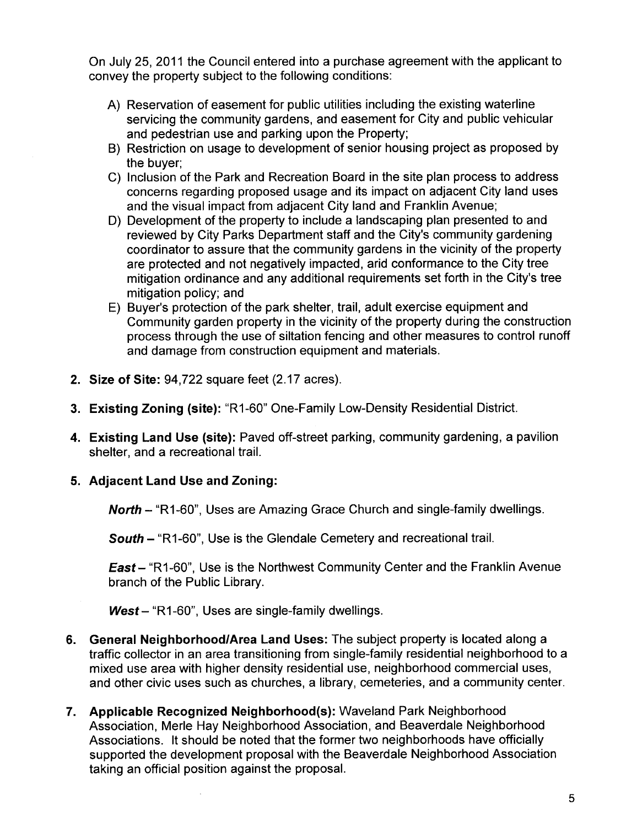On July 25, 2011 the Council entered into a purchase agreement with the applicant to convey the property subject to the following conditions:

- A) Reservation of easement for public utilities including the existing waterline servicing the community gardens, and easement for City and public vehicular and pedestrian use and parking upon the Property;
- B) Restriction on usage to development of senior housing project as proposed by the buyer;
- C) Inclusion of the Park and Recreation Board in the site plan process to address concerns regarding proposed usage and its impact on adjacent City land uses and the visual impact from adjacent City land and Franklin Avenue;
- D) Development of the property to include a landscaping plan presented to and reviewed by City Parks Department staff and the City's community gardening coordinator to assure that the community gardens in the vicinity of the property are protected and not negatively impacted, arid conformance to the City tree mitigation ordinance and any additional requirements set forth in the City's tree mitigation policy; and
- E) Buyer's protection of the park shelter, trail, adult exercise equipment and Community garden property in the vicinity of the property during the construction process through the use of siltation fencing and other measures to control runoff and damage from construction equipment and materials.
- 2. Size of Site: 94,722 square feet (2.17 acres).
- 3. Existing Zoning (site): "R1-60" One-Family Low-Density Residential District.
- 4. Existing Land Use (site): Paved off-street parking, community gardening, a pavilion shelter, and a recreational trail.
- 5. Adjacent Land Use and Zoning:

North - "R1-60". Uses are Amazing Grace Church and single-family dwellings.

South - "R1-60", Use is the Glendale Cemetery and recreational trail.

East - "R1-60", Use is the Northwest Community Center and the Franklin Avenue branch of the Public Library.

 $West - "R1-60"$ , Uses are single-family dwellings.

- 6. General Neighborhood/Area Land Uses: The subject property is located along a traffic collector in an area transitioning from single-family residential neighborhood to a mixed use area with higher density residential use, neighborhood commercial uses, and other civic uses such as churches, a library, cemeteries, and a community center.
- 7. Applicable Recognized Neighborhood(s): Waveland Park Neighborhood Association, Merle Hay Neighborhood Association, and Beaverdale Neighborhood Associations. It should be noted that the former two neighborhoods have officially supported the development proposal with the Beaverdale Neighborhood Association taking an official position against the proposal.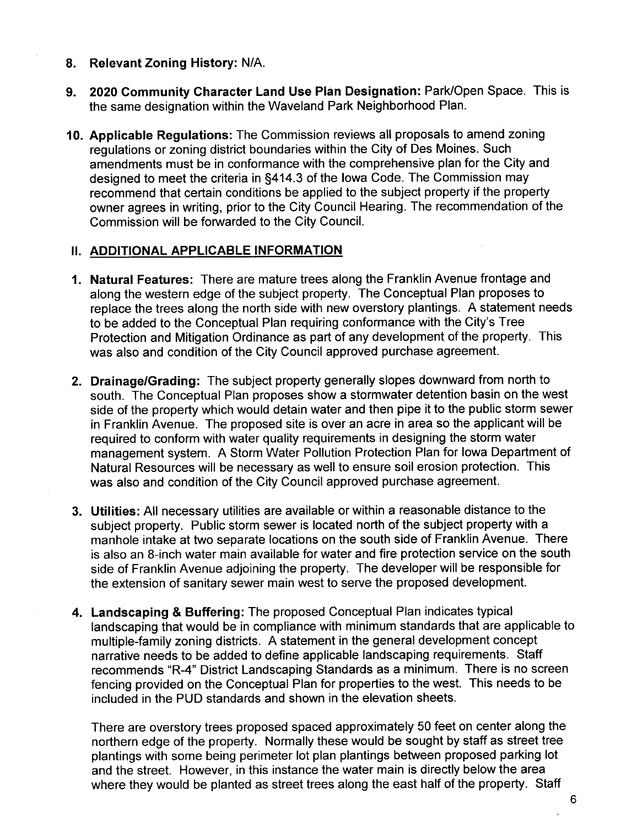- 8. Relevant Zoning History: N/A.
- 9. 2020 Community Character Land Use Plan Designation: Park/Open Space. This is the same designation within the Waveland Park Neighborhood Plan.
- 10. Applicable Regulations: The Commission reviews all proposals to amend zoning regulations or zoning district boundaries within the City of Des Moines. Such amendments must be in conformance with the comprehensive plan for the City and designed to meet the criteria in §414.3 of the Iowa Code. The Commission may recommend that certain conditions be applied to the subject property if the property owner agrees in writing, prior to the City Council Hearing. The recommendation of the Commission will be forwarded to the City CounciL.

### **II. ADDITIONAL APPLICABLE INFORMATION**

- 1. Natural Features: There are mature trees along the Franklin Avenue frontage and along the western edge of the subject property. The Conceptual Plan proposes to replace the trees along the north side with new overstory plantings. A statement needs to be added to the Conceptual Plan requiring conformance with the City's Tree Protection and Mitigation Ordinance as part of any development of the property. This was also and condition of the City Council approved purchase agreement.
- 2. Drainage/Grading: The subject property generally slopes downward from north to south. The Conceptual Plan proposes show a stormwater detention basin on the west side of the property which would detain water and then pipe it to the public storm sewer in Franklin Avenue. The proposed site is over an acre in area so the applicant will be required to conform with water quality requirements in designing the storm water management system. A Storm Water Pollution Protection Plan for Iowa Department of Natural Resources will be necessary as well to ensure soil erosion protection. This was also and condition of the City Council approved purchase agreement.
- 3. Utilities: All necessary utilities are available or within a reasonable distance to the subject property. Public storm sewer is located north of the subject property with a manhole intake at two separate locations on the south side of Franklin Avenue. There is also an 8-inch water main available for water and fire protection service on the south side of Franklin Avenue adjoining the property. The developer will be responsible for the extension of sanitary sewer main west to serve the proposed development.
- 4. Landscaping & Buffering: The proposed Conceptual Plan indicates typical landscaping that would be in compliance with minimum standards that are applicable to multiple-family zoning districts. A statement in the general development concept narrative needs to be added to define applicable landscaping requirements. Staff recommends "R-4" District Landscaping Standards as a minimum. There is no screen fencing provided on the Conceptual Plan for properties to the west. This needs to be included in the PUD standards and shown in the elevation sheets.

There are overstory trees proposed spaced approximately 50 feet on center along the northern edge of the property. Normally these would be sought by staff as street tree plantings with some being perimeter lot plan plantings between proposed parking lot and the street. However, in this instance the water main is directly below the area where they would be planted as street trees along the east half of the property. Staff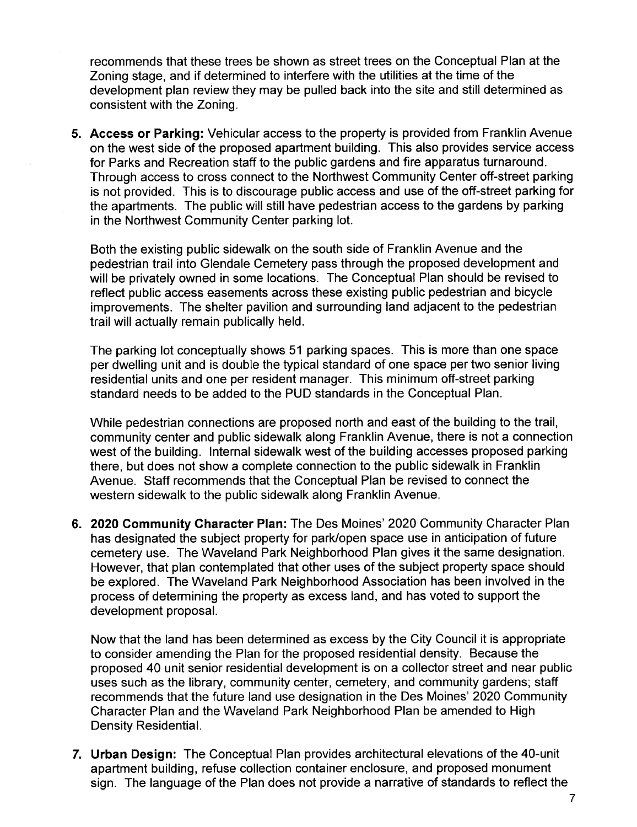recommends that these trees be shown as street trees on the Conceptual Plan at the Zoning stage, and if determined to interfere with the utilities at the time of the development plan review they may be pulled back into the site and still determined as consistent with the Zoning.

5. Access or Parking: Vehicular access to the property is provided from Franklin Avenue on the west side of the proposed apartment building. This also provides service access for Parks and Recreation staff to the public gardens and fire apparatus turnaround. Through access to cross connect to the Northwest Community Center off-street parking is not provided. This is to discourage public access and use of the off-street parking for the apartments. The public will stil have pedestrian access to the gardens by parking in the Northwest Community Center parking lot.

Both the existing public sidewalk on the south side of Franklin Avenue and the pedestrian trail into Glendale Cemetery pass through the proposed development and will be privately owned in some locations. The Conceptual Plan should be revised to reflect public access easements across these existing public pedestrian and bicycle improvements. The shelter pavilion and surrounding land adjacent to the pedestrian trail will actually remain publically held.

The parking lot conceptually shows 51 parking spaces. This is more than one space per dwelling unit and is double the typical standard of one space per two senior living residential units and one per resident manager. This minimum off-street parking standard needs to be added to the PUD standards in the Conceptual Plan.

While pedestrian connections are proposed north and east of the building to the trail, community center and public sidewalk along Franklin Avenue, there is not a connection west of the building. Internal sidewalk west of the building accesses proposed parking there, but does not show a complete connection to the public sidewalk in Franklin Avenue. Staff recommends that the Conceptual Plan be revised to connect the western sidewalk to the public sidewalk along Franklin Avenue.

6. 2020 Community Character Plan: The Des Moines' 2020 Community Character Plan has designated the subject property for park/open space use in anticipation of future cemetery use. The Waveland Park Neighborhood Plan gives it the same designation. However, that plan contemplated that other uses of the subject property space should be explored. The Waveland Park Neighborhood Association has been involved in the process of determining the property as excess land, and has voted to support the development proposal.

Now that the land has been determined as excess by the City Council it is appropriate to consider amending the Plan for the proposed residential density. Because the proposed 40 unit senior residential development is on a collector street and near public uses such as the library, community center, cemetery, and community gardens; staff recommends that the future land use designation in the Des Moines' 2020 Community Character Plan and the Waveland Park Neighborhood Plan be amended to High Density ResidentiaL.

7. Urban Design: The Conceptual Plan provides architectural elevations of the 40-unit apartment building, refuse collection container enclosure, and proposed monument sign. The language of the Plan does not provide a narrative of standards to reflect the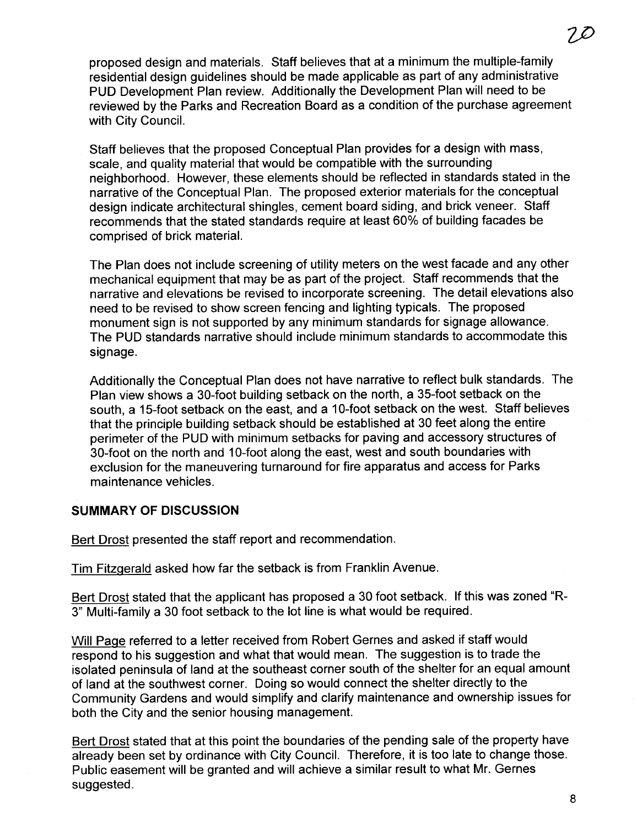proposed design and materials. Staff believes that at a minimum the multiple-family residential design guidelines should be made applicable as part of any administrative PUD Development Plan review. Additionally the Development Plan will need to be reviewed by the Parks and Recreation Board as a condition of the purchase agreement with City Council.

Staff believes that the proposed Conceptual Plan provides for a design with mass, scale, and quality material that would be compatible with the surrounding neighborhood. However, these elements should be reflected in standards stated in the narrative of the Conceptual Plan. The proposed exterior materials for the conceptual design indicate architectural shingles, cement board siding, and brick veneer. Staff recommends that the stated standards require at least 60% of building facades be comprised of brick materiaL.

The Plan does not include screening of utility meters on the west facade and any other mechanical equipment that may be as part of the project. Staff recommends that the narrative and elevations be revised to incorporate screening. The detail elevations also need to be revised to show screen fencing and lighting typicals. The proposed monument sign is not supported by any minimum standards for signage allowance. The PUD standards narrative should include minimum standards to accommodate this signage.

Additionally the Conceptual Plan does not have narrative to reflect bulk standards. The Plan view shows a 30-foot building setback on the north, a 35-foot setback on the south, a 15-foot setback on the east, and a 10-foot setback on the west. Staff believes that the principle building setback should be established at 30 feet along the entire perimeter of the PUD with minimum setbacks for paving and accessory structures of 30-foot on the north and 10-foot along the east, west and south boundaries with exclusion for the maneuvering turnaround for fire apparatus and access for Parks maintenance vehicles.

### SUMMARY OF DISCUSSION

Bert Drost presented the staff report and recommendation.

Tim Fitzqerald asked how far the setback is from Franklin Avenue.

Bert Drost stated that the applicant has proposed a 30 foot setback. If this was zoned "R-3" Multi-family a 30 foot setback to the lot line is what would be required.

Will Paqe referred to a letter received from Robert Gernes and asked if staff would respond to his suggestion and what that would mean. The suggestion is to trade the isolated peninsula of land at the southeast corner south of the shelter for an equal amount of land at the southwest corner. Doing so would connect the shelter directly to the Community Gardens and would simplify and clarify maintenance and ownership issues for both the City and the senior housing management.

Bert Drost stated that at this point the boundaries of the pending sale of the property have already been set by ordinance with City Council. Therefore, it is too late to change those. Public easement will be granted and will achieve a similar result to what Mr. Gernes suggested.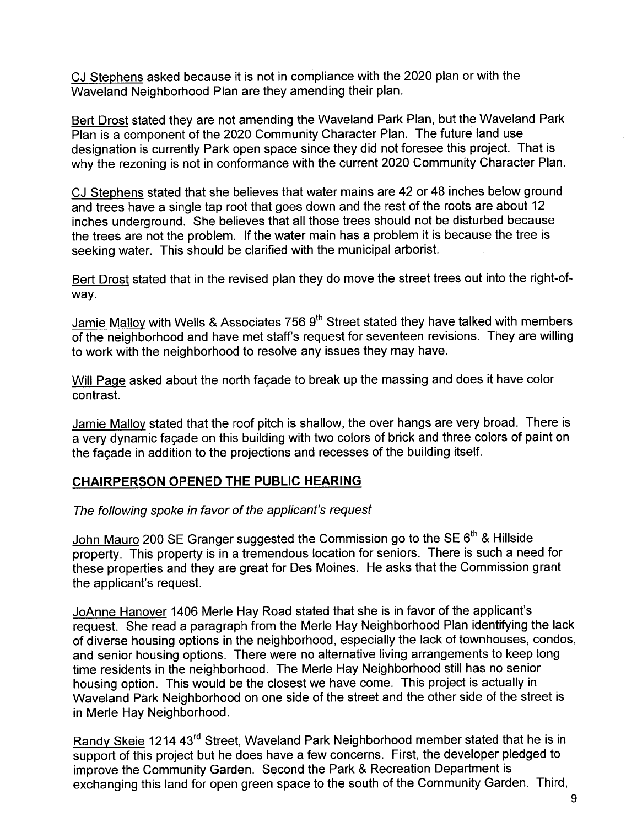CJ Stephens asked because it is not in compliance with the 2020 plan or with the Waveland Neighborhood Plan are they amending their plan.

Bert Drost stated they are not amending the Waveland Park Plan, but the Waveland Park Plan is a component of the 2020 Community Character Plan. The future land use designation is currently Park open space since they did not foresee this project. That is why the rezoning is not in conformance with the current 2020 Community Character Plan.

CJ Stephens stated that she believes that water mains are 42 or 48 inches below ground and trees have a single tap root that goes down and the rest of the roots are about 12 inches underground. She believes that all those trees should not be disturbed because the trees are not the problem. If the water main has a problem it is because the tree is seeking water. This should be clarified with the municipal arborist.

Bert Drost stated that in the revised plan they do move the street trees out into the right-ofway.

Jamie Malloy with Wells & Associates 756 9<sup>th</sup> Street stated they have talked with members of the neighborhood and have met staffs request for seventeen revisions. They are willing to work with the neighborhood to resolve any issues they may have.

Will Paqe asked about the north façade to break up the massing and does it have color contrast.

Jamie Malloy stated that the roof pitch is shallow, the over hangs are very broad. There is a very dynamic façade on this building with two colors of brick and three colors of paint on the façade in addition to the projections and recesses of the building itself.

### CHAIRPERSON OPENED THE PUBLIC HEARING

#### The following spoke in favor of the applicant's request

John Mauro 200 SE Granger suggested the Commission go to the SE 6<sup>th</sup> & Hillside property. This property is in a tremendous location for seniors. There is such a need for these properties and they are great for Des Moines. He asks that the Commission grant the applicant's request.

JoAnne Hanover 1406 Merle Hay Road stated that she is in favor of the applicant's request. She read a paragraph from the Merle Hay Neighborhood Plan identifying the lack of diverse housing options in the neighborhood, especially the lack of townhouses, condos, and senior housing options. There were no alternative living arrangements to keep long time residents in the neighborhood. The Merle Hay Neighborhood still has no senior housing option. This would be the closest we have come. This project is actually in Waveland Park Neighborhood on one side of the street and the other side of the street is in Merle Hay Neighborhood.

Randy Skeie 1214 43<sup>rd</sup> Street, Waveland Park Neighborhood member stated that he is in support of this project but he does have a few concerns. First, the developer pledged to improve the Community Garden. Second the Park & Recreation Department is exchanging this land for open green space to the south of the Community Garden. Third,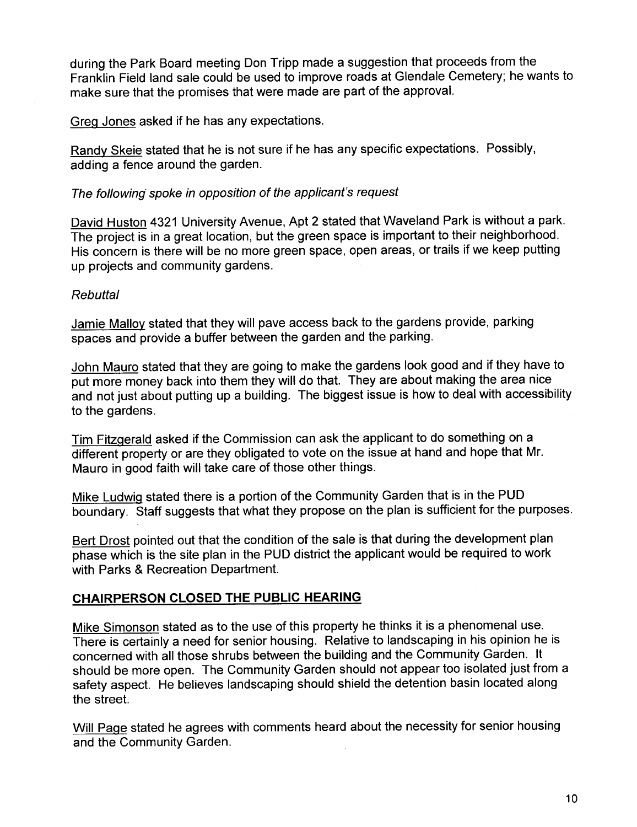during the Park Board meeting Don Tripp made a suggestion that proceeds from the Franklin Field land sale could be used to improve roads at Glendale Cemetery; he wants to make sure that the promises that were made are part of the approval.

Greg Jones asked if he has any expectations.

Randy Skeie stated that he is not sure if he has any specific expectations. Possibly, adding a fence around the garden.

### The following spoke in opposition of the applicant's request

David Huston 4321 University Avenue, Apt 2 stated that Waveland Park is without a park. The project is in a great location, but the green space is important to their neighborhood. His concern is there will be no more green space, open areas, or trails if we keep putting up projects and community gardens.

## Rebuttal

Jamie Malloy stated that they will pave access back to the gardens provide, parking spaces and provide a buffer between the garden and the parking.

John Mauro stated that they are going to make the gardens look good and if they have to put more money back into them they will do that. They are about making the area nice and not just about putting up a building. The biggest issue is how to deal with accessibility to the gardens.

Tim Fitzgerald asked if the Commission can ask the applicant to do something on a different property or are they obligated to vote on the issue at hand and hope that Mr. Mauro in good faith will take care of those other things.

Mike Ludwig stated there is a portion of the Community Garden that is in the PUD boundary. Staff suggests that what they propose on the plan is sufficient for the purposes.

Bert Drost pointed out that the condition of the sale is that during the development plan phase which is the site plan in the PUD district the applicant would be required to work with Parks & Recreation Department.

## CHAIRPERSON CLOSED THE PUBLIC HEARING

Mike Simonson stated as to the use of this property he thinks it is a phenomenal use. There is certainly a need for senior housing. Relative to landscaping in his opinion he is concerned with all those shrubs between the building and the Community Garden. It should be more open. The Community Garden should not appear too isolated just from a safety aspect. He believes landscaping should shield the detention basin located along the street.

Will Page stated he agrees with comments heard about the necessity for senior housing and the Community Garden.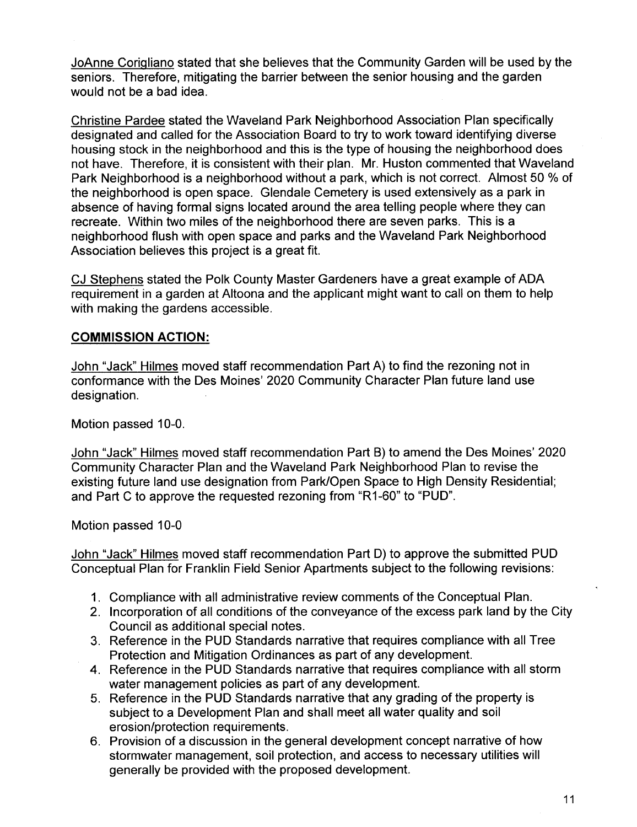JoAnne Coriqliano stated that she believes that the Community Garden will be used by the seniors. Therefore, mitigating the barrier between the senior housing and the garden would not be a bad idea.

Christine Pardee stated the Waveland Park Neighborhood Association Plan specifically designated and called for the Association Board to try to work toward identifying diverse housing stock in the neighborhood and this is the type of housing the neighborhood does not have. Therefore, it is consistent with their plan. Mr. Huston commented that Waveland Park Neighborhood is a neighborhood without a park, which is not correct. Almost 50 % of the neighborhood is open space. Glendale Cemetery is used extensively as a park in absence of having formal signs located around the area telling people where they can recreate. Within two miles of the neighborhood there are seven parks. This is a neighborhood flush with open space and parks and the Waveland Park Neighborhood Association believes this project is a great fit.

CJ Stephens stated the Polk County Master Gardeners have a great example of ADA requirement in a garden at Altoona and the applicant might want to call on them to help with making the gardens accessible.

### COMMISSION ACTION:

John "Jack" Hilmes moved staff recommendation Part A) to find the rezoning not in conformance with the Des Moines' 2020 Community Character Plan future land use designation.

Motion passed 10-0.

John "Jack" Hilmes moved staff recommendation Part B) to amend the Des Moines' 2020 Community Character Plan and the Waveland Park Neighborhood Plan to revise the existing future land use designation from Park/Open Space to High Density Residential; and Part C to approve the requested rezoning from "R1-60" to "PUD".

Motion passed 10-0

John "Jack" Hilmes moved staff recommendation Part D) to approve the submitted PUD Conceptual Plan for Franklin Field Senior Apartments subject to the following revisions:

- 1. Compliance with all administrative review comments of the Conceptual Plan.
- 2. Incorporation of all conditions of the conveyance of the excess park land by the City Council as additional special notes.
- 3. Reference in the PUD Standards narrative that requires compliance with all Tree Protection and Mitigation Ordinances as part of any development.
- 4. Reference in the PUD Standards narrative that requires compliance with all storm water management policies as part of any development.
- 5. Reference in the PUD Standards narrative that any grading of the property is subject to a Development Plan and shall meet all water quality and soil erosion/protection requirements.
- 6. Provision of a discussion in the general development concept narrative of how stormwater management, soil protection, and access to necessary utilities will generally be provided with the proposed development.